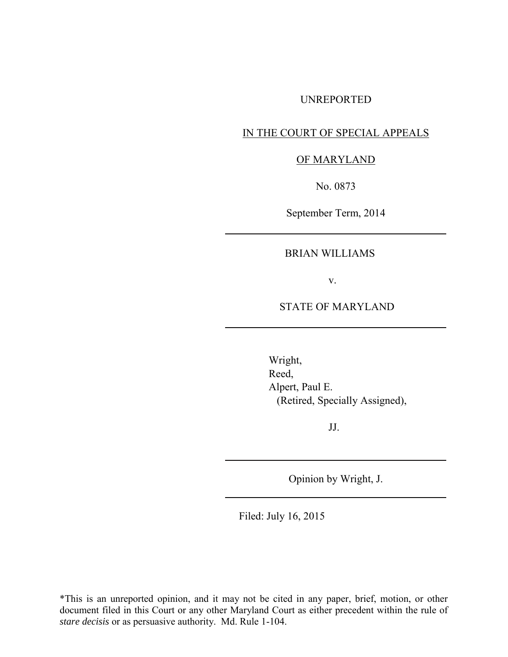#### UNREPORTED

# IN THE COURT OF SPECIAL APPEALS

#### OF MARYLAND

No. 0873

September Term, 2014

## BRIAN WILLIAMS

v.

# STATE OF MARYLAND

 Wright, Reed, Alpert, Paul E. (Retired, Specially Assigned),

JJ.

Opinion by Wright, J.

Filed: July 16, 2015

\*This is an unreported opinion, and it may not be cited in any paper, brief, motion, or other document filed in this Court or any other Maryland Court as either precedent within the rule of *stare decisis* or as persuasive authority. Md. Rule 1-104.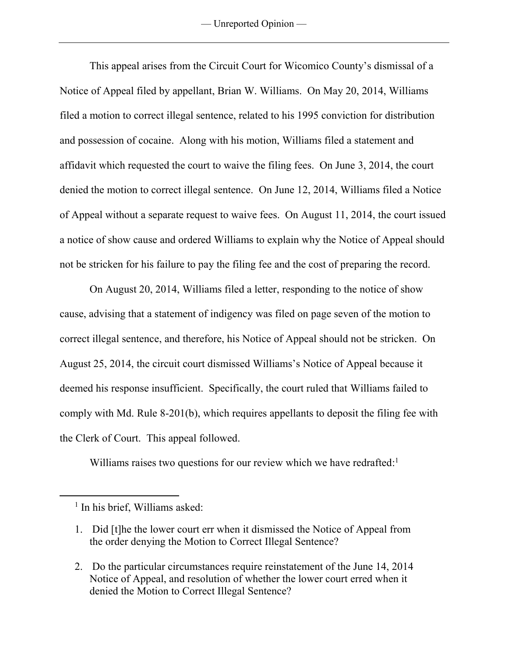This appeal arises from the Circuit Court for Wicomico County's dismissal of a Notice of Appeal filed by appellant, Brian W. Williams. On May 20, 2014, Williams filed a motion to correct illegal sentence, related to his 1995 conviction for distribution and possession of cocaine. Along with his motion, Williams filed a statement and affidavit which requested the court to waive the filing fees. On June 3, 2014, the court denied the motion to correct illegal sentence. On June 12, 2014, Williams filed a Notice of Appeal without a separate request to waive fees. On August 11, 2014, the court issued a notice of show cause and ordered Williams to explain why the Notice of Appeal should not be stricken for his failure to pay the filing fee and the cost of preparing the record.

On August 20, 2014, Williams filed a letter, responding to the notice of show cause, advising that a statement of indigency was filed on page seven of the motion to correct illegal sentence, and therefore, his Notice of Appeal should not be stricken. On August 25, 2014, the circuit court dismissed Williams's Notice of Appeal because it deemed his response insufficient. Specifically, the court ruled that Williams failed to comply with Md. Rule 8-201(b), which requires appellants to deposit the filing fee with the Clerk of Court. This appeal followed.

Williams raises two questions for our review which we have redrafted:<sup>1</sup>

 $\overline{a}$ 

2. Do the particular circumstances require reinstatement of the June 14, 2014 Notice of Appeal, and resolution of whether the lower court erred when it denied the Motion to Correct Illegal Sentence?

<sup>&</sup>lt;sup>1</sup> In his brief, Williams asked:

<sup>1.</sup> Did [t]he the lower court err when it dismissed the Notice of Appeal from the order denying the Motion to Correct Illegal Sentence?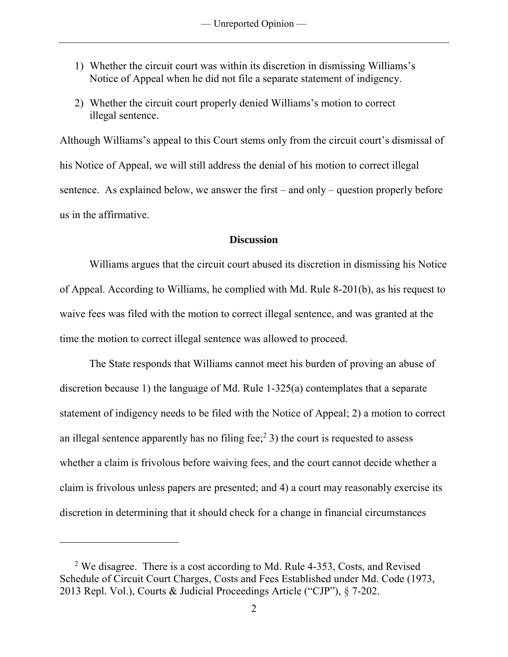- 1) Whether the circuit court was within its discretion in dismissing Williams's Notice of Appeal when he did not file a separate statement of indigency.
- 2) Whether the circuit court properly denied Williams's motion to correct illegal sentence.

Although Williams's appeal to this Court stems only from the circuit court's dismissal of his Notice of Appeal, we will still address the denial of his motion to correct illegal sentence. As explained below, we answer the first – and only – question properly before us in the affirmative.

### **Discussion**

Williams argues that the circuit court abused its discretion in dismissing his Notice of Appeal. According to Williams, he complied with Md. Rule 8-201(b), as his request to waive fees was filed with the motion to correct illegal sentence, and was granted at the time the motion to correct illegal sentence was allowed to proceed.

The State responds that Williams cannot meet his burden of proving an abuse of discretion because 1) the language of Md. Rule 1-325(a) contemplates that a separate statement of indigency needs to be filed with the Notice of Appeal; 2) a motion to correct an illegal sentence apparently has no filing fee;<sup>2</sup> 3) the court is requested to assess whether a claim is frivolous before waiving fees, and the court cannot decide whether a claim is frivolous unless papers are presented; and 4) a court may reasonably exercise its discretion in determining that it should check for a change in financial circumstances

 $\overline{a}$ 

<sup>2</sup> We disagree. There is a cost according to Md. Rule 4-353, Costs, and Revised Schedule of Circuit Court Charges, Costs and Fees Established under Md. Code (1973, 2013 Repl. Vol.), Courts & Judicial Proceedings Article ("CJP"), § 7-202.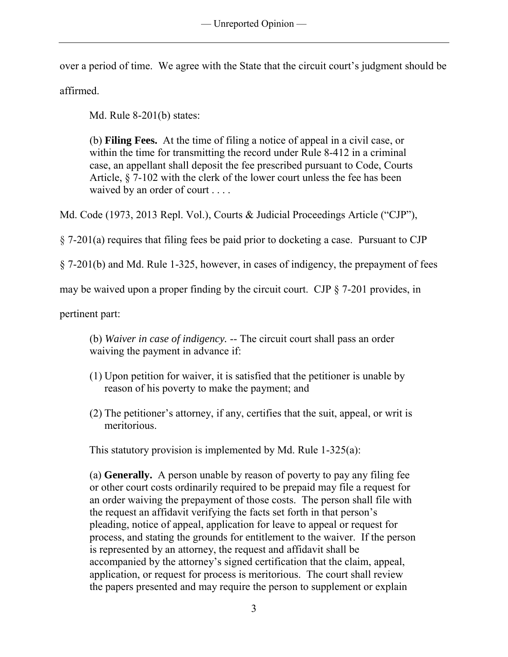over a period of time. We agree with the State that the circuit court's judgment should be

affirmed.

Md. Rule 8-201(b) states:

(b) **Filing Fees.** At the time of filing a notice of appeal in a civil case, or within the time for transmitting the record under [Rule 8-412](https://a.next.westlaw.com/Link/Document/FullText?findType=L&pubNum=1007687&cite=MDRCTSPAR8-412&originatingDoc=N898146809CEB11DB9BCF9DAC28345A2A&refType=LQ&originationContext=document&transitionType=DocumentItem&contextData=(sc.Category)) in a criminal case, an appellant shall deposit the fee prescribed pursuant to [Code, Courts](https://a.next.westlaw.com/Link/Document/FullText?findType=L&pubNum=1000021&cite=MDCATS7-102&originatingDoc=N898146809CEB11DB9BCF9DAC28345A2A&refType=LQ&originationContext=document&transitionType=DocumentItem&contextData=(sc.Category))  [Article, § 7-102](https://a.next.westlaw.com/Link/Document/FullText?findType=L&pubNum=1000021&cite=MDCATS7-102&originatingDoc=N898146809CEB11DB9BCF9DAC28345A2A&refType=LQ&originationContext=document&transitionType=DocumentItem&contextData=(sc.Category)) with the clerk of the lower court unless the fee has been waived by an order of court . . . .

Md. Code (1973, 2013 Repl. Vol.), Courts & Judicial Proceedings Article ("CJP"),

§ 7-201(a) requires that filing fees be paid prior to docketing a case. Pursuant to CJP

§ 7-201(b) and Md. Rule 1-325, however, in cases of indigency, the prepayment of fees

may be waived upon a proper finding by the circuit court. CJP § 7-201 provides, in

pertinent part:

(b) *Waiver in case of indigency.* -- The circuit court shall pass an order waiving the payment in advance if:

- (1) Upon petition for waiver, it is satisfied that the petitioner is unable by reason of his poverty to make the payment; and
- (2) The petitioner's attorney, if any, certifies that the suit, appeal, or writ is meritorious.

This statutory provision is implemented by Md. Rule 1-325(a):

(a) **Generally.** A person unable by reason of poverty to pay any filing fee or other court costs ordinarily required to be prepaid may file a request for an order waiving the prepayment of those costs. The person shall file with the request an affidavit verifying the facts set forth in that person's pleading, notice of appeal, application for leave to appeal or request for process, and stating the grounds for entitlement to the waiver. If the person is represented by an attorney, the request and affidavit shall be accompanied by the attorney's signed certification that the claim, appeal, application, or request for process is meritorious. The court shall review the papers presented and may require the person to supplement or explain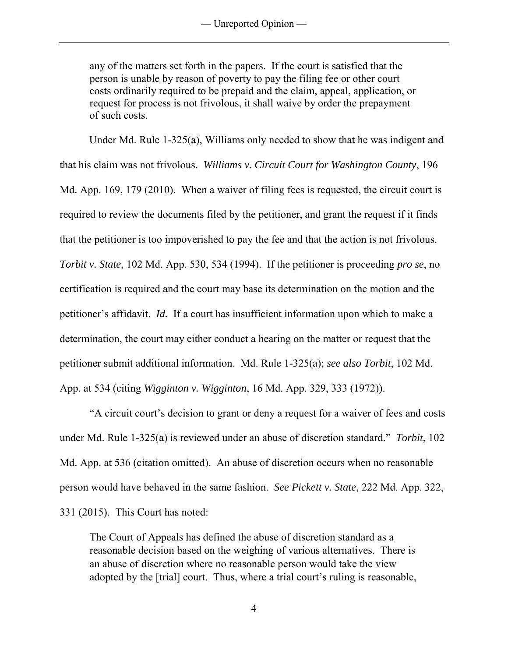any of the matters set forth in the papers. If the court is satisfied that the person is unable by reason of poverty to pay the filing fee or other court costs ordinarily required to be prepaid and the claim, appeal, application, or request for process is not frivolous, it shall waive by order the prepayment of such costs.

 Under Md. Rule 1-325(a), Williams only needed to show that he was indigent and that his claim was not frivolous. *Williams v. Circuit Court for Washington County*, 196 Md. App. 169, 179 (2010). When a waiver of filing fees is requested, the circuit court is required to review the documents filed by the petitioner, and grant the request if it finds that the petitioner is too impoverished to pay the fee and that the action is not frivolous. *Torbit v. State*, 102 Md. App. 530, 534 (1994). If the petitioner is proceeding *pro se*, no certification is required and the court may base its determination on the motion and the petitioner's affidavit. *Id.* If a court has insufficient information upon which to make a determination, the court may either conduct a hearing on the matter or request that the petitioner submit additional information. Md. Rule 1-325(a); *see also Torbit*, 102 Md. App. at 534 (citing *Wigginton v. Wigginton*, 16 Md. App. 329, 333 (1972)).

"A circuit court's decision to grant or deny a request for a waiver of fees and costs under Md. Rule 1-325(a) is reviewed under an abuse of discretion standard." *Torbit*, 102 Md. App. at 536 (citation omitted). An abuse of discretion occurs when no reasonable person would have behaved in the same fashion. *See Pickett v. State*, 222 Md. App. 322, 331 (2015). This Court has noted:

The Court of Appeals has defined the abuse of discretion standard as a reasonable decision based on the weighing of various alternatives. There is an abuse of discretion where no reasonable person would take the view adopted by the [trial] court. Thus, where a trial court's ruling is reasonable,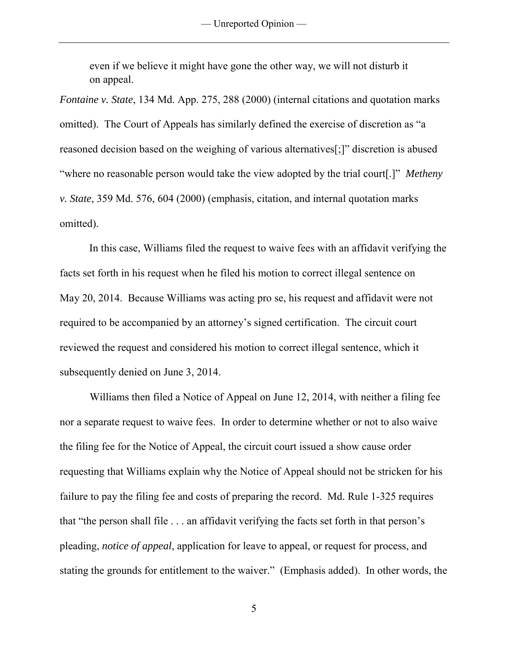even if we believe it might have gone the other way, we will not disturb it on appeal.

*Fontaine v. State*, 134 Md. App. 275, 288 (2000) (internal citations and quotation marks omitted). The Court of Appeals has similarly defined the exercise of discretion as "a reasoned decision based on the weighing of various alternatives[;]" discretion is abused "where no reasonable person would take the view adopted by the trial court[.]" *Metheny v. State*, 359 Md. 576, 604 (2000) (emphasis, citation, and internal quotation marks omitted).

 In this case, Williams filed the request to waive fees with an affidavit verifying the facts set forth in his request when he filed his motion to correct illegal sentence on May 20, 2014. Because Williams was acting pro se, his request and affidavit were not required to be accompanied by an attorney's signed certification. The circuit court reviewed the request and considered his motion to correct illegal sentence, which it subsequently denied on June 3, 2014.

Williams then filed a Notice of Appeal on June 12, 2014, with neither a filing fee nor a separate request to waive fees. In order to determine whether or not to also waive the filing fee for the Notice of Appeal, the circuit court issued a show cause order requesting that Williams explain why the Notice of Appeal should not be stricken for his failure to pay the filing fee and costs of preparing the record. Md. Rule 1-325 requires that "the person shall file . . . an affidavit verifying the facts set forth in that person's pleading, *notice of appeal*, application for leave to appeal, or request for process, and stating the grounds for entitlement to the waiver." (Emphasis added). In other words, the

5